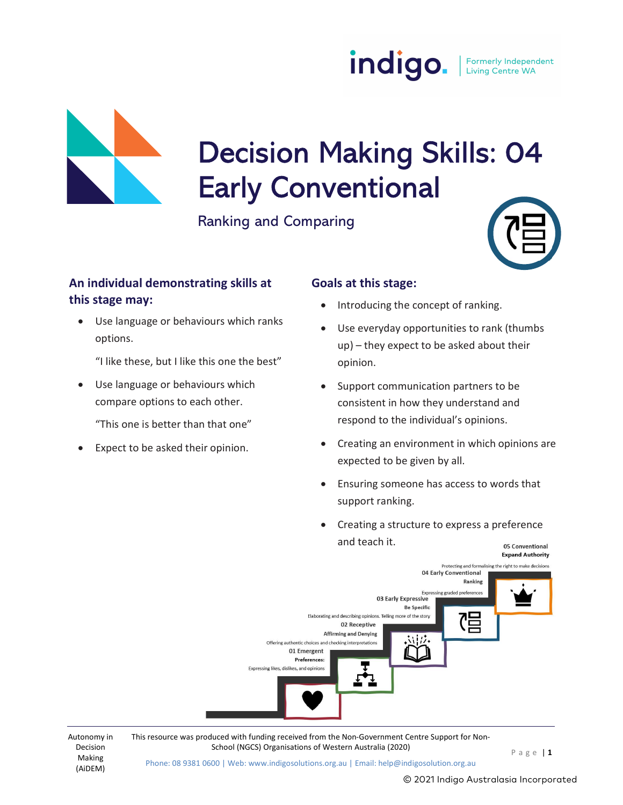



# Decision Making Skills: 04<br>Early Conventional

Ranking and Comparing

| 71 |
|----|
|----|

# An individual demonstrating skills at this stage may:

 Use language or behaviours which ranks options.

"I like these, but I like this one the best"

 Use language or behaviours which compare options to each other.

"This one is better than that one"

Expect to be asked their opinion.

### Goals at this stage:

- Introducing the concept of ranking.
- Use everyday opportunities to rank (thumbs up) – they expect to be asked about their opinion.
- Support communication partners to be consistent in how they understand and respond to the individual's opinions.
- Creating an environment in which opinions are expected to be given by all.
- Ensuring someone has access to words that support ranking.
- Creating a structure to express a preference and teach it.



Decision Making (AiDEM)

Autonomy in This resource was produced with funding received from the Non-Government Centre Support for Non-